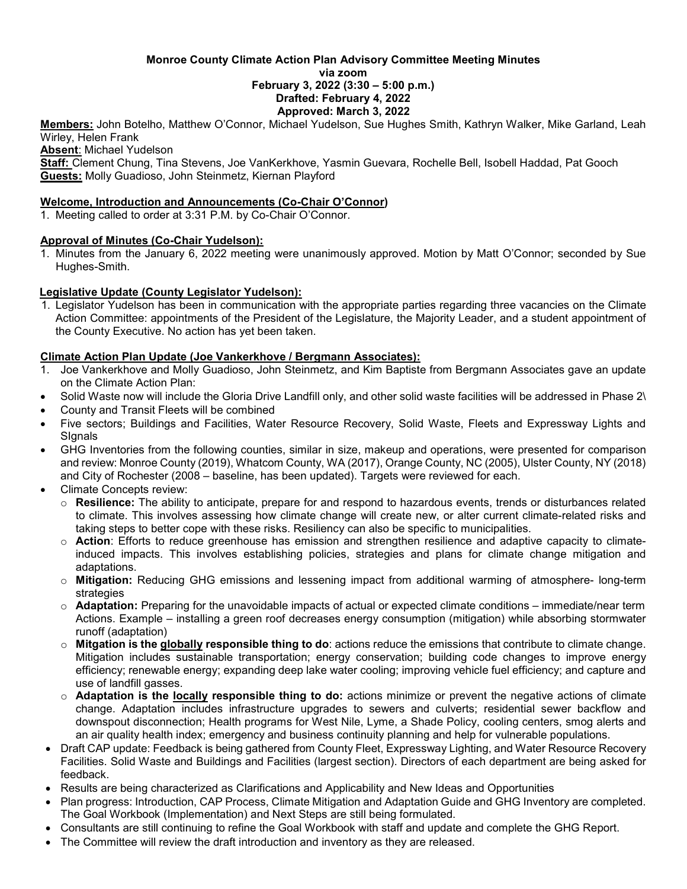#### **Monroe County Climate Action Plan Advisory Committee Meeting Minutes via zoom February 3, 2022 (3:30 – 5:00 p.m.) Drafted: February 4, 2022 Approved: March 3, 2022**

**Members:** John Botelho, Matthew O'Connor, Michael Yudelson, Sue Hughes Smith, Kathryn Walker, Mike Garland, Leah Wirley, Helen Frank

**Absent**: Michael Yudelson

**Staff:** Clement Chung, Tina Stevens, Joe VanKerkhove, Yasmin Guevara, Rochelle Bell, Isobell Haddad, Pat Gooch **Guests:** Molly Guadioso, John Steinmetz, Kiernan Playford

### **Welcome, Introduction and Announcements (Co-Chair O'Connor)**

1. Meeting called to order at 3:31 P.M. by Co-Chair O'Connor.

## **Approval of Minutes (Co-Chair Yudelson):**

1. Minutes from the January 6, 2022 meeting were unanimously approved. Motion by Matt O'Connor; seconded by Sue Hughes-Smith.

#### **Legislative Update (County Legislator Yudelson):**

1. Legislator Yudelson has been in communication with the appropriate parties regarding three vacancies on the Climate Action Committee: appointments of the President of the Legislature, the Majority Leader, and a student appointment of the County Executive. No action has yet been taken.

#### **Climate Action Plan Update (Joe Vankerkhove / Bergmann Associates):**

- 1. Joe Vankerkhove and Molly Guadioso, John Steinmetz, and Kim Baptiste from Bergmann Associates gave an update on the Climate Action Plan:
- Solid Waste now will include the Gloria Drive Landfill only, and other solid waste facilities will be addressed in Phase 2\
- County and Transit Fleets will be combined
- Five sectors; Buildings and Facilities, Water Resource Recovery, Solid Waste, Fleets and Expressway Lights and **Signals**
- GHG Inventories from the following counties, similar in size, makeup and operations, were presented for comparison and review: Monroe County (2019), Whatcom County, WA (2017), Orange County, NC (2005), Ulster County, NY (2018) and City of Rochester (2008 – baseline, has been updated). Targets were reviewed for each.
- Climate Concepts review:
	- o **Resilience:** The ability to anticipate, prepare for and respond to hazardous events, trends or disturbances related to climate. This involves assessing how climate change will create new, or alter current climate-related risks and taking steps to better cope with these risks. Resiliency can also be specific to municipalities.
	- o **Action**: Efforts to reduce greenhouse has emission and strengthen resilience and adaptive capacity to climateinduced impacts. This involves establishing policies, strategies and plans for climate change mitigation and adaptations.
	- o **Mitigation:** Reducing GHG emissions and lessening impact from additional warming of atmosphere- long-term strategies
	- o **Adaptation:** Preparing for the unavoidable impacts of actual or expected climate conditions immediate/near term Actions. Example – installing a green roof decreases energy consumption (mitigation) while absorbing stormwater runoff (adaptation)
	- o **Mitgation is the globally responsible thing to do**: actions reduce the emissions that contribute to climate change. Mitigation includes sustainable transportation; energy conservation; building code changes to improve energy efficiency; renewable energy; expanding deep lake water cooling; improving vehicle fuel efficiency; and capture and use of landfill gasses.
	- o **Adaptation is the locally responsible thing to do:** actions minimize or prevent the negative actions of climate change. Adaptation includes infrastructure upgrades to sewers and culverts; residential sewer backflow and downspout disconnection; Health programs for West Nile, Lyme, a Shade Policy, cooling centers, smog alerts and an air quality health index; emergency and business continuity planning and help for vulnerable populations.
- Draft CAP update: Feedback is being gathered from County Fleet, Expressway Lighting, and Water Resource Recovery Facilities. Solid Waste and Buildings and Facilities (largest section). Directors of each department are being asked for feedback.
- Results are being characterized as Clarifications and Applicability and New Ideas and Opportunities
- Plan progress: Introduction, CAP Process, Climate Mitigation and Adaptation Guide and GHG Inventory are completed. The Goal Workbook (Implementation) and Next Steps are still being formulated.
- Consultants are still continuing to refine the Goal Workbook with staff and update and complete the GHG Report.
- The Committee will review the draft introduction and inventory as they are released.